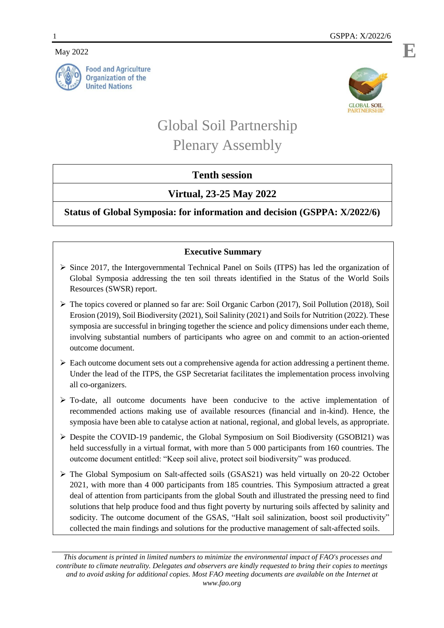May 2022





# Global Soil Partnership Plenary Assembly

## **Tenth session**

## **Virtual, 23-25 May 2022**

**Status of Global Symposia: for information and decision (GSPPA: X/2022/6)**

### **Executive Summary**

- $\triangleright$  Since 2017, the Intergovernmental Technical Panel on Soils (ITPS) has led the organization of Global Symposia addressing the ten soil threats identified in the Status of the World Soils Resources (SWSR) report.
- $\triangleright$  The topics covered or planned so far are: Soil Organic Carbon (2017), Soil Pollution (2018), Soil Erosion (2019), Soil Biodiversity (2021), Soil Salinity (2021) and Soils for Nutrition (2022). These symposia are successful in bringing together the science and policy dimensions under each theme, involving substantial numbers of participants who agree on and commit to an action-oriented outcome document.
- $\triangleright$  Each outcome document sets out a comprehensive agenda for action addressing a pertinent theme. Under the lead of the ITPS, the GSP Secretariat facilitates the implementation process involving all co-organizers.
- $\triangleright$  To-date, all outcome documents have been conducive to the active implementation of recommended actions making use of available resources (financial and in-kind). Hence, the symposia have been able to catalyse action at national, regional, and global levels, as appropriate.
- $\triangleright$  Despite the COVID-19 pandemic, the Global Symposium on Soil Biodiversity (GSOBI21) was held successfully in a virtual format, with more than 5 000 participants from 160 countries. The outcome document entitled: "Keep soil alive, protect soil biodiversity" was produced.
- $\triangleright$  The Global Symposium on Salt-affected soils (GSAS21) was held virtually on 20-22 October 2021, with more than 4 000 participants from 185 countries. This Symposium attracted a great deal of attention from participants from the global South and illustrated the pressing need to find solutions that help produce food and thus fight poverty by nurturing soils affected by salinity and sodicity. The outcome document of the GSAS, "Halt soil salinization, boost soil productivity" collected the main findings and solutions for the productive management of salt-affected soils.

*This document is printed in limited numbers to minimize the environmental impact of FAO's processes and contribute to climate neutrality. Delegates and observers are kindly requested to bring their copies to meetings and to avoid asking for additional copies. Most FAO meeting documents are available on the Internet at www.fao.org*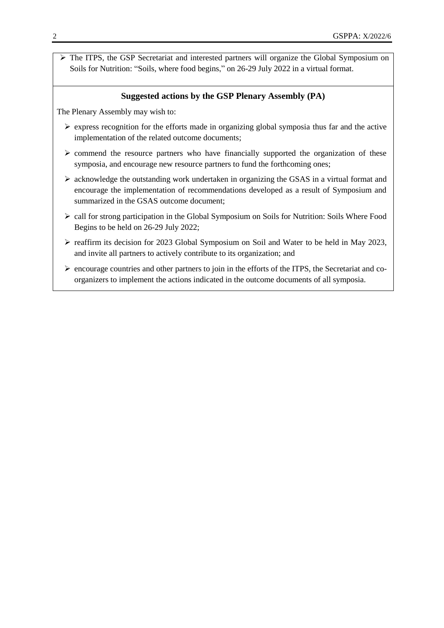The ITPS, the GSP Secretariat and interested partners will organize the Global Symposium on Soils for Nutrition: "Soils, where food begins," on 26-29 July 2022 in a virtual format.

#### **Suggested actions by the GSP Plenary Assembly (PA)**

The Plenary Assembly may wish to:

- $\triangleright$  express recognition for the efforts made in organizing global symposia thus far and the active implementation of the related outcome documents;
- $\triangleright$  commend the resource partners who have financially supported the organization of these symposia, and encourage new resource partners to fund the forthcoming ones;
- $\triangleright$  acknowledge the outstanding work undertaken in organizing the GSAS in a virtual format and encourage the implementation of recommendations developed as a result of Symposium and summarized in the GSAS outcome document:
- $\triangleright$  call for strong participation in the Global Symposium on Soils for Nutrition: Soils Where Food Begins to be held on 26-29 July 2022;
- reaffirm its decision for 2023 Global Symposium on Soil and Water to be held in May 2023, and invite all partners to actively contribute to its organization; and
- $\triangleright$  encourage countries and other partners to join in the efforts of the ITPS, the Secretariat and coorganizers to implement the actions indicated in the outcome documents of all symposia.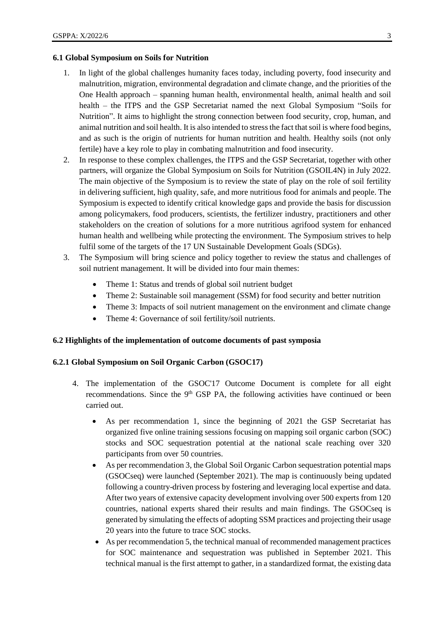#### **6.1 Global Symposium on Soils for Nutrition**

- 1. In light of the global challenges humanity faces today, including poverty, food insecurity and malnutrition, migration, environmental degradation and climate change, and the priorities of the One Health approach – spanning human health, environmental health, animal health and soil health – the ITPS and the GSP Secretariat named the next Global Symposium "Soils for Nutrition". It aims to highlight the strong connection between food security, crop, human, and animal nutrition and soil health. It is also intended to stress the fact that soil is where food begins, and as such is the origin of nutrients for human nutrition and health. Healthy soils (not only fertile) have a key role to play in combating malnutrition and food insecurity.
- 2. In response to these complex challenges, the ITPS and the GSP Secretariat, together with other partners, will organize the Global Symposium on Soils for Nutrition (GSOIL4N) in July 2022. The main objective of the Symposium is to review the state of play on the role of soil fertility in delivering sufficient, high quality, safe, and more nutritious food for animals and people. The Symposium is expected to identify critical knowledge gaps and provide the basis for discussion among policymakers, food producers, scientists, the fertilizer industry, practitioners and other stakeholders on the creation of solutions for a more nutritious agrifood system for enhanced human health and wellbeing while protecting the environment. The Symposium strives to help fulfil some of the targets of the 17 UN Sustainable Development Goals (SDGs).
- 3. The Symposium will bring science and policy together to review the status and challenges of soil nutrient management. It will be divided into four main themes:
	- Theme 1: Status and trends of global soil nutrient budget
	- Theme 2: Sustainable soil management (SSM) for food security and better nutrition
	- Theme 3: Impacts of soil nutrient management on the environment and climate change
	- Theme 4: Governance of soil fertility/soil nutrients.

#### **6.2 Highlights of the implementation of outcome documents of past symposia**

#### **6.2.1 Global Symposium on Soil Organic Carbon (GSOC17)**

- 4. The implementation of the GSOC'17 Outcome Document is complete for all eight recommendations. Since the  $9<sup>th</sup>$  GSP PA, the following activities have continued or been carried out.
	- As per recommendation 1, since the beginning of 2021 the GSP Secretariat has organized five online training sessions focusing on mapping soil organic carbon (SOC) stocks and SOC sequestration potential at the national scale reaching over 320 participants from over 50 countries.
	- As per recommendation 3, the Global Soil Organic Carbon sequestration potential maps (GSOCseq) were launched (September 2021). The map is continuously being updated following a country-driven process by fostering and leveraging local expertise and data. After two years of extensive capacity development involving over 500 experts from 120 countries, national experts shared their results and main findings. The GSOCseq is generated by simulating the effects of adopting SSM practices and projecting their usage 20 years into the future to trace SOC stocks.
	- As per recommendation 5, the technical manual of recommended management practices for SOC maintenance and sequestration was published in September 2021. This technical manual is the first attempt to gather, in a standardized format, the existing data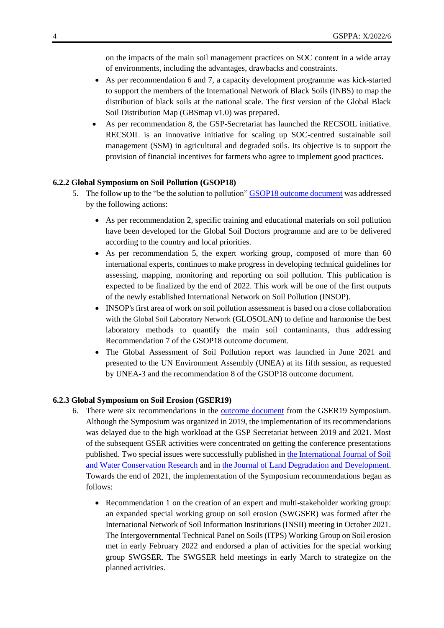on the impacts of the main soil management practices on SOC content in a wide array of environments, including the advantages, drawbacks and constraints.

- As per recommendation 6 and 7, a capacity development programme was kick-started to support the members of the International Network of Black Soils (INBS) to map the distribution of black soils at the national scale. The first version of the Global Black Soil Distribution Map (GBSmap v1.0) was prepared.
- As per recommendation 8, the GSP-Secretariat has launched the RECSOIL initiative. RECSOIL is an innovative initiative for scaling up SOC-centred sustainable soil management (SSM) in agricultural and degraded soils. Its objective is to support the provision of financial incentives for farmers who agree to implement good practices.

#### **6.2.2 Global Symposium on Soil Pollution (GSOP18)**

- 5. The follow up to the "be the solution to pollution" **GSOP18** outcome document was addressed by the following actions:
	- As per recommendation 2, specific training and educational materials on soil pollution have been developed for the Global Soil Doctors programme and are to be delivered according to the country and local priorities.
	- As per recommendation 5, the expert working group, composed of more than 60 international experts, continues to make progress in developing technical guidelines for assessing, mapping, monitoring and reporting on soil pollution. This publication is expected to be finalized by the end of 2022. This work will be one of the first outputs of the newly established International Network on Soil Pollution (INSOP).
	- INSOP's first area of work on soil pollution assessment is based on a close collaboration with the Global Soil Laboratory Network (GLOSOLAN) to define and harmonise the best laboratory methods to quantify the main soil contaminants, thus addressing Recommendation 7 of the GSOP18 outcome document.
	- The Global Assessment of Soil Pollution report was launched in June 2021 and presented to the UN Environment Assembly (UNEA) at its fifth session, as requested by UNEA-3 and the recommendation 8 of the GSOP18 outcome document.

#### **6.2.3 Global Symposium on Soil Erosion (GSER19)**

- 6. There were six recommendations in the **outcome document** from the GSER19 Symposium. Although the Symposium was organized in 2019, the implementation of its recommendations was delayed due to the high workload at the GSP Secretariat between 2019 and 2021. Most of the subsequent GSER activities were concentrated on getting the conference presentations published. Two special issues were successfully published in [the International Journal of Soil](https://www.sciencedirect.com/science/article/pii/S2095633920300873)  [and Water Conservation Research](https://www.sciencedirect.com/science/article/pii/S2095633920300873) and in [the Journal of Land Degradation and Development.](https://onlinelibrary.wiley.com/doi/10.1002/ldr.4017) Towards the end of 2021, the implementation of the Symposium recommendations began as follows:
	- Recommendation 1 on the creation of an expert and multi-stakeholder working group: an expanded special working group on soil erosion (SWGSER) was formed after the International Network of Soil Information Institutions (INSII) meeting in October 2021. The Intergovernmental Technical Panel on Soils (ITPS) Working Group on Soil erosion met in early February 2022 and endorsed a plan of activities for the special working group SWGSER. The SWGSER held meetings in early March to strategize on the planned activities.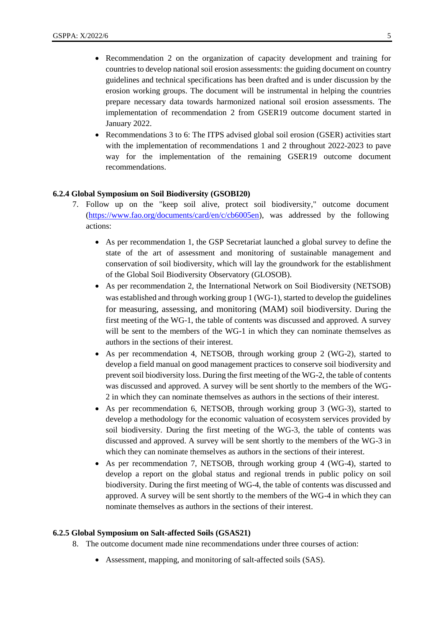- Recommendation 2 on the organization of capacity development and training for countries to develop national soil erosion assessments: the guiding document on country guidelines and technical specifications has been drafted and is under discussion by the erosion working groups. The document will be instrumental in helping the countries prepare necessary data towards harmonized national soil erosion assessments. The implementation of recommendation 2 from GSER19 outcome document started in January 2022.
- Recommendations 3 to 6: The ITPS advised global soil erosion (GSER) activities start with the implementation of recommendations 1 and 2 throughout 2022-2023 to pave way for the implementation of the remaining GSER19 outcome document recommendations.

#### **6.2.4 Global Symposium on Soil Biodiversity (GSOBI20)**

- 7. Follow up on the "keep soil alive, protect soil biodiversity," outcome document [\(https://www.fao.org/documents/card/en/c/cb6005en\)](https://www.fao.org/documents/card/en/c/cb6005en), was addressed by the following actions:
	- As per recommendation 1, the GSP Secretariat launched a global survey to define the state of the art of assessment and monitoring of sustainable management and conservation of soil biodiversity, which will lay the groundwork for the establishment of the Global Soil Biodiversity Observatory (GLOSOB).
	- As per recommendation 2, the International Network on Soil Biodiversity (NETSOB) was established and through working group 1 (WG-1), started to develop the guidelines for measuring, assessing, and monitoring (MAM) soil biodiversity. During the first meeting of the WG-1, the table of contents was discussed and approved. A survey will be sent to the members of the WG-1 in which they can nominate themselves as authors in the sections of their interest.
	- As per recommendation 4, NETSOB, through working group 2 (WG-2), started to develop a field manual on good management practices to conserve soil biodiversity and prevent soil biodiversity loss. During the first meeting of the WG-2, the table of contents was discussed and approved. A survey will be sent shortly to the members of the WG-2 in which they can nominate themselves as authors in the sections of their interest.
	- As per recommendation 6, NETSOB, through working group 3 (WG-3), started to develop a methodology for the economic valuation of ecosystem services provided by soil biodiversity. During the first meeting of the WG-3, the table of contents was discussed and approved. A survey will be sent shortly to the members of the WG-3 in which they can nominate themselves as authors in the sections of their interest.
	- As per recommendation 7, NETSOB, through working group 4 (WG-4), started to develop a report on the global status and regional trends in public policy on soil biodiversity. During the first meeting of WG-4, the table of contents was discussed and approved. A survey will be sent shortly to the members of the WG-4 in which they can nominate themselves as authors in the sections of their interest.

#### **6.2.5 Global Symposium on Salt-affected Soils (GSAS21)**

- 8. The outcome document made nine recommendations under three courses of action:
	- Assessment, mapping, and monitoring of salt-affected soils (SAS).